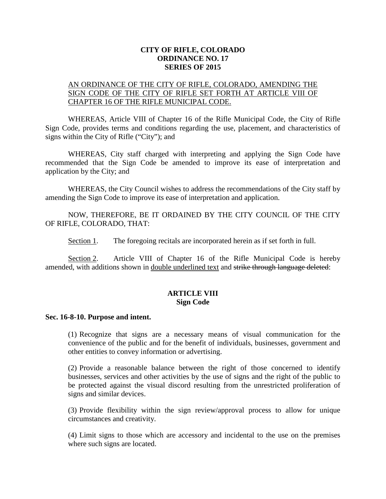### **CITY OF RIFLE, COLORADO ORDINANCE NO. 17 SERIES OF 2015**

### AN ORDINANCE OF THE CITY OF RIFLE, COLORADO, AMENDING THE SIGN CODE OF THE CITY OF RIFLE SET FORTH AT ARTICLE VIII OF CHAPTER 16 OF THE RIFLE MUNICIPAL CODE.

WHEREAS, Article VIII of Chapter 16 of the Rifle Municipal Code, the City of Rifle Sign Code, provides terms and conditions regarding the use, placement, and characteristics of signs within the City of Rifle ("City"); and

WHEREAS, City staff charged with interpreting and applying the Sign Code have recommended that the Sign Code be amended to improve its ease of interpretation and application by the City; and

WHEREAS, the City Council wishes to address the recommendations of the City staff by amending the Sign Code to improve its ease of interpretation and application.

NOW, THEREFORE, BE IT ORDAINED BY THE CITY COUNCIL OF THE CITY OF RIFLE, COLORADO, THAT:

Section 1. The foregoing recitals are incorporated herein as if set forth in full.

Section 2. Article VIII of Chapter 16 of the Rifle Municipal Code is hereby amended, with additions shown in double underlined text and strike through language deleted:

### **ARTICLE VIII Sign Code**

#### **Sec. 16-8-10. Purpose and intent.**

(1) Recognize that signs are a necessary means of visual communication for the convenience of the public and for the benefit of individuals, businesses, government and other entities to convey information or advertising.

(2) Provide a reasonable balance between the right of those concerned to identify businesses, services and other activities by the use of signs and the right of the public to be protected against the visual discord resulting from the unrestricted proliferation of signs and similar devices.

(3) Provide flexibility within the sign review/approval process to allow for unique circumstances and creativity.

(4) Limit signs to those which are accessory and incidental to the use on the premises where such signs are located.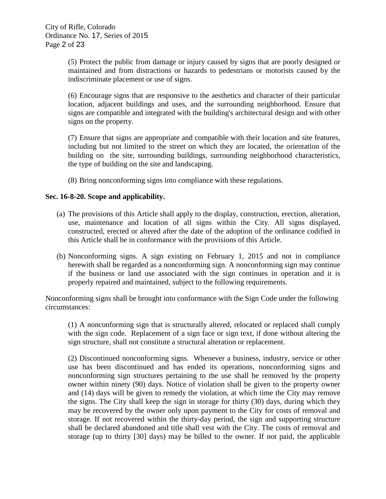(5) Protect the public from damage or injury caused by signs that are poorly designed or maintained and from distractions or hazards to pedestrians or motorists caused by the indiscriminate placement or use of signs.

(6) Encourage signs that are responsive to the aesthetics and character of their particular location, adjacent buildings and uses, and the surrounding neighborhood. Ensure that signs are compatible and integrated with the building's architectural design and with other signs on the property.

(7) Ensure that signs are appropriate and compatible with their location and site features, including but not limited to the street on which they are located, the orientation of the building on the site, surrounding buildings, surrounding neighborhood characteristics, the type of building on the site and landscaping.

(8) Bring nonconforming signs into compliance with these regulations.

### **Sec. 16-8-20. Scope and applicability.**

- (a) The provisions of this Article shall apply to the display, construction, erection, alteration, use, maintenance and location of all signs within the City. All signs displayed, constructed, erected or altered after the date of the adoption of the ordinance codified in this Article shall be in conformance with the provisions of this Article.
- (b) Nonconforming signs. A sign existing on February 1, 2015 and not in compliance herewith shall be regarded as a nonconforming sign. A nonconforming sign may continue if the business or land use associated with the sign continues in operation and it is properly repaired and maintained, subject to the following requirements.

Nonconforming signs shall be brought into conformance with the Sign Code under the following circumstances:

(1) A nonconforming sign that is structurally altered, relocated or replaced shall comply with the sign code. Replacement of a sign face or sign text, if done without altering the sign structure, shall not constitute a structural alteration or replacement.

(2) Discontinued nonconforming signs. Whenever a business, industry, service or other use has been discontinued and has ended its operations, nonconforming signs and nonconforming sign structures pertaining to the use shall be removed by the property owner within ninety (90) days. Notice of violation shall be given to the property owner and (14) days will be given to remedy the violation, at which time the City may remove the signs. The City shall keep the sign in storage for thirty (30) days, during which they may be recovered by the owner only upon payment to the City for costs of removal and storage. If not recovered within the thirty-day period, the sign and supporting structure shall be declared abandoned and title shall vest with the City. The costs of removal and storage (up to thirty [30] days) may be billed to the owner. If not paid, the applicable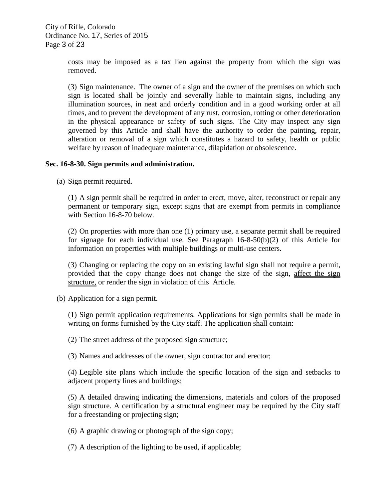City of Rifle, Colorado Ordinance No. 17, Series of 2015 Page 3 of 23

> costs may be imposed as a tax lien against the property from which the sign was removed.

> (3) Sign maintenance. The owner of a sign and the owner of the premises on which such sign is located shall be jointly and severally liable to maintain signs, including any illumination sources, in neat and orderly condition and in a good working order at all times, and to prevent the development of any rust, corrosion, rotting or other deterioration in the physical appearance or safety of such signs. The City may inspect any sign governed by this Article and shall have the authority to order the painting, repair, alteration or removal of a sign which constitutes a hazard to safety, health or public welfare by reason of inadequate maintenance, dilapidation or obsolescence.

### **Sec. 16-8-30. Sign permits and administration.**

(a) Sign permit required.

(1) A sign permit shall be required in order to erect, move, alter, reconstruct or repair any permanent or temporary sign, except signs that are exempt from permits in compliance with Section 16-8-70 below.

(2) On properties with more than one (1) primary use, a separate permit shall be required for signage for each individual use. See Paragraph 16-8-50(b)(2) of this Article for information on properties with multiple buildings or multi-use centers.

(3) Changing or replacing the copy on an existing lawful sign shall not require a permit, provided that the copy change does not change the size of the sign, affect the sign structure, or render the sign in violation of this Article.

(b) Application for a sign permit.

(1) Sign permit application requirements. Applications for sign permits shall be made in writing on forms furnished by the City staff. The application shall contain:

(2) The street address of the proposed sign structure;

(3) Names and addresses of the owner, sign contractor and erector;

(4) Legible site plans which include the specific location of the sign and setbacks to adiacent property lines and buildings;

(5) A detailed drawing indicating the dimensions, materials and colors of the proposed sign structure. A certification by a structural engineer may be required by the City staff for a freestanding or projecting sign;

(6) A graphic drawing or photograph of the sign copy;

(7) A description of the lighting to be used, if applicable;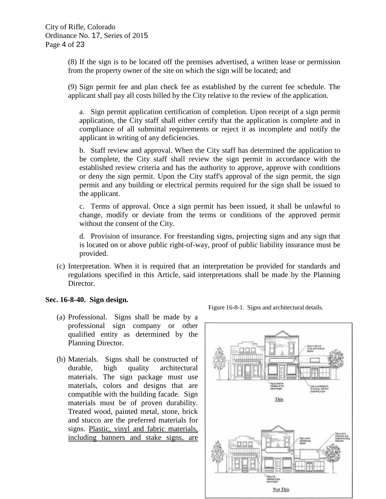(8) If the sign is to be located off the premises advertised, a written lease or permission from the property owner of the site on which the sign will be located; and

(9) Sign permit fee and plan check fee as established by the current fee schedule. The applicant shall pay all costs billed by the City relative to the review of the application.

a. Sign permit application certification of completion. Upon receipt of a sign permit application, the City staff shall either certify that the application is complete and in compliance of all submittal requirements or reject it as incomplete and notify the applicant in writing of any deficiencies.

b. Staff review and approval. When the City staff has determined the application to be complete, the City staff shall review the sign permit in accordance with the established review criteria and has the authority to approve, approve with conditions or deny the sign permit. Upon the City staff's approval of the sign permit, the sign permit and any building or electrical permits required for the sign shall be issued to the applicant.

c. Terms of approval. Once a sign permit has been issued, it shall be unlawful to change, modify or deviate from the terms or conditions of the approved permit without the consent of the City.

d. Provision of insurance. For freestanding signs, projecting signs and any sign that is located on or above public right-of-way, proof of public liability insurance must be provided.

(c) Interpretation. When it is required that an interpretation be provided for standards and regulations specified in this Article, said interpretations shall be made by the Planning Director.

### **Sec. 16-8-40. Sign design.**

- (a) Professional. Signs shall be made by a professional sign company or other qualified entity as determined by the Planning Director.
- (b) Materials. Signs shall be constructed of durable, high quality architectural materials. The sign package must use materials, colors and designs that are compatible with the building facade. Sign materials must be of proven durability. Treated wood, painted metal, stone, brick and stucco are the preferred materials for signs. Plastic, vinyl and fabric materials, including banners and stake signs, are



Figure 16-8-1. Signs and architectural details.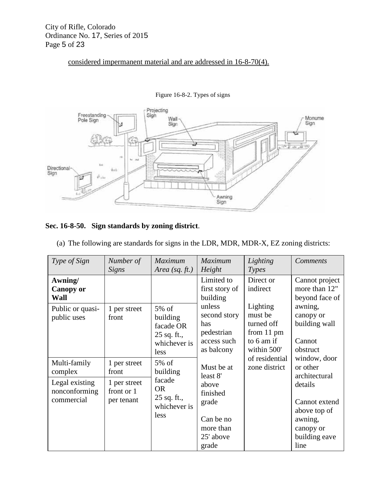# considered impermanent material and are addressed in 16-8-70(4).



Figure 16-8-2. Types of signs

### **Sec. 16-8-50. Sign standards by zoning district**.

| Type of Sign                                                             | Number of                                                         | <b>Maximum</b>                                                                       | <b>Maximum</b>                                                                                       | Lighting                                                                     | <b>Comments</b>                                                                                                                        |
|--------------------------------------------------------------------------|-------------------------------------------------------------------|--------------------------------------------------------------------------------------|------------------------------------------------------------------------------------------------------|------------------------------------------------------------------------------|----------------------------------------------------------------------------------------------------------------------------------------|
|                                                                          | Signs                                                             | Area (sq. $ft.$ )                                                                    | Height                                                                                               | Types                                                                        |                                                                                                                                        |
| Awning/<br><b>Canopy or</b><br>Wall                                      |                                                                   |                                                                                      | Limited to<br>first story of<br>building                                                             | Direct or<br>indirect                                                        | Cannot project<br>more than 12"<br>beyond face of                                                                                      |
| Public or quasi-<br>public uses                                          | 1 per street<br>front                                             | 5% of<br>building<br>facade OR<br>25 sq. ft.,<br>whichever is<br>less                | unless<br>second story<br>has<br>pedestrian<br>access such<br>as balcony                             | Lighting<br>must be<br>turned off<br>from 11 pm<br>to 6 am if<br>within 500' | awning,<br>canopy or<br>building wall<br>Cannot<br>obstruct                                                                            |
| Multi-family<br>complex<br>Legal existing<br>nonconforming<br>commercial | 1 per street<br>front<br>1 per street<br>front or 1<br>per tenant | $5\%$ of<br>building<br>facade<br><b>OR</b><br>$25$ sq. ft.,<br>whichever is<br>less | Must be at<br>least 8'<br>above<br>finished<br>grade<br>Can be no<br>more than<br>25' above<br>grade | of residential<br>zone district                                              | window, door<br>or other<br>architectural<br>details<br>Cannot extend<br>above top of<br>awning,<br>canopy or<br>building eave<br>line |

(a) The following are standards for signs in the LDR, MDR, MDR-X, EZ zoning districts: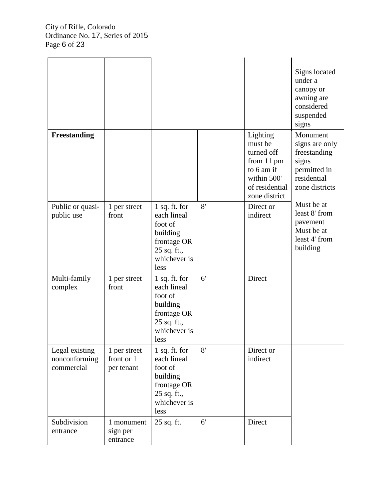|                                               |                                          |                                                                                                             |    |                                                                                                                 | Signs located<br>under a<br>canopy or<br>awning are<br>considered<br>suspended<br>signs              |
|-----------------------------------------------|------------------------------------------|-------------------------------------------------------------------------------------------------------------|----|-----------------------------------------------------------------------------------------------------------------|------------------------------------------------------------------------------------------------------|
| Freestanding                                  |                                          |                                                                                                             |    | Lighting<br>must be<br>turned off<br>from 11 pm<br>to 6 am if<br>within 500'<br>of residential<br>zone district | Monument<br>signs are only<br>freestanding<br>signs<br>permitted in<br>residential<br>zone districts |
| Public or quasi-<br>public use                | 1 per street<br>front                    | $1$ sq. ft. for<br>each lineal<br>foot of<br>building<br>frontage OR<br>25 sq. ft.,<br>whichever is<br>less | 8' | Direct or<br>indirect                                                                                           | Must be at<br>least 8' from<br>pavement<br>Must be at<br>least 4' from<br>building                   |
| Multi-family<br>complex                       | 1 per street<br>front                    | 1 sq. ft. for<br>each lineal<br>foot of<br>building<br>frontage OR<br>25 sq. ft.,<br>whichever is<br>less   | 6' | Direct                                                                                                          |                                                                                                      |
| Legal existing<br>nonconforming<br>commercial | 1 per street<br>front or 1<br>per tenant | 1 sq. ft. for<br>each lineal<br>foot of<br>building<br>frontage OR<br>25 sq. ft.,<br>whichever is<br>less   | 8' | Direct or<br>indirect                                                                                           |                                                                                                      |
| Subdivision<br>entrance                       | 1 monument<br>sign per<br>entrance       | 25 sq. ft.                                                                                                  | 6' | Direct                                                                                                          |                                                                                                      |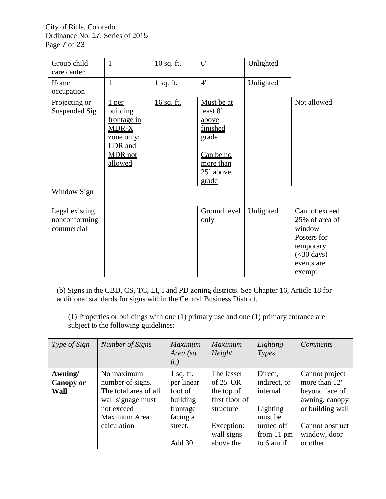City of Rifle, Colorado Ordinance No. 17, Series of 2015 Page 7 of 23

| Group child<br>care center                    | $\mathbf{1}$                                                                                                  | 10 sq. ft.  | 6'                                                                                                                   | Unlighted |                                                                                                                |
|-----------------------------------------------|---------------------------------------------------------------------------------------------------------------|-------------|----------------------------------------------------------------------------------------------------------------------|-----------|----------------------------------------------------------------------------------------------------------------|
| Home<br>occupation                            | $\mathbf{1}$                                                                                                  | $1$ sq. ft. | 4'                                                                                                                   | Unlighted |                                                                                                                |
| Projecting or<br>Suspended Sign               | 1 per<br>building<br>frontage in<br><b>MDR-X</b><br><u>zone only;</u><br>LDR and<br><b>MDR</b> not<br>allowed | 16 sq. ft.  | Must be at<br><u>least 8'</u><br><u>above</u><br>finished<br>grade<br>Can be no<br>more than<br>$25'$ above<br>grade |           | Not allowed                                                                                                    |
| Window Sign                                   |                                                                                                               |             |                                                                                                                      |           |                                                                                                                |
| Legal existing<br>nonconforming<br>commercial |                                                                                                               |             | Ground level<br>only                                                                                                 | Unlighted | Cannot exceed<br>25% of area of<br>window<br>Posters for<br>temporary<br>$(<$ 30 days)<br>events are<br>exempt |

(b) Signs in the CBD, CS, TC, LI, I and PD zoning districts. See Chapter 16, Article 18 for additional standards for signs within the Central Business District.

(1) Properties or buildings with one (1) primary use and one (1) primary entrance are subject to the following guidelines:

| <i>Type of Sign</i>                 | Number of Signs                                                                                                           | <i>Maximum</i><br>Area (sq.<br>ft.)                                                           | <b>Maximum</b><br>Height                                                                                        | Lighting<br>Types                                                                                    | <b>Comments</b>                                                                                                                        |
|-------------------------------------|---------------------------------------------------------------------------------------------------------------------------|-----------------------------------------------------------------------------------------------|-----------------------------------------------------------------------------------------------------------------|------------------------------------------------------------------------------------------------------|----------------------------------------------------------------------------------------------------------------------------------------|
| Awning/<br><b>Canopy or</b><br>Wall | No maximum<br>number of signs.<br>The total area of all<br>wall signage must<br>not exceed<br>Maximum Area<br>calculation | $1$ sq. ft.<br>per linear<br>foot of<br>building<br>frontage<br>facing a<br>street.<br>Add 30 | The lesser<br>of $25'$ OR<br>the top of<br>first floor of<br>structure<br>Exception:<br>wall signs<br>above the | Direct,<br>indirect, or<br>internal<br>Lighting<br>must be<br>turned off<br>from 11 pm<br>to 6 am if | Cannot project<br>more than 12"<br>beyond face of<br>awning, canopy<br>or building wall<br>Cannot obstruct<br>window, door<br>or other |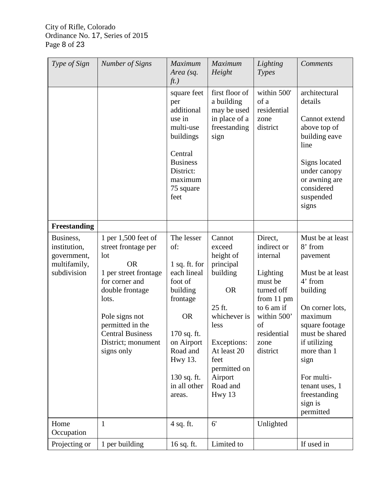| Type of Sign                                                            | Number of Signs                                                                                                                                                                                                                            | <b>Maximum</b><br>Area (sq.<br>ft.)                                                                                                                                                              | Maximum<br>Height                                                                                                                                                                            | Lighting<br>Types                                                                                                                                           | Comments                                                                                                                                                                                                                                                            |
|-------------------------------------------------------------------------|--------------------------------------------------------------------------------------------------------------------------------------------------------------------------------------------------------------------------------------------|--------------------------------------------------------------------------------------------------------------------------------------------------------------------------------------------------|----------------------------------------------------------------------------------------------------------------------------------------------------------------------------------------------|-------------------------------------------------------------------------------------------------------------------------------------------------------------|---------------------------------------------------------------------------------------------------------------------------------------------------------------------------------------------------------------------------------------------------------------------|
|                                                                         |                                                                                                                                                                                                                                            | square feet<br>per<br>additional<br>use in<br>multi-use<br>buildings<br>Central<br><b>Business</b><br>District:<br>maximum<br>75 square<br>feet                                                  | first floor of<br>a building<br>may be used<br>in place of a<br>freestanding<br>sign                                                                                                         | within 500'<br>of a<br>residential<br>zone<br>district                                                                                                      | architectural<br>details<br>Cannot extend<br>above top of<br>building eave<br>line<br>Signs located<br>under canopy<br>or awning are<br>considered<br>suspended<br>signs                                                                                            |
| Freestanding                                                            |                                                                                                                                                                                                                                            |                                                                                                                                                                                                  |                                                                                                                                                                                              |                                                                                                                                                             |                                                                                                                                                                                                                                                                     |
| Business,<br>institution,<br>government,<br>multifamily,<br>subdivision | 1 per 1,500 feet of<br>street frontage per<br>lot<br><b>OR</b><br>1 per street frontage<br>for corner and<br>double frontage<br>lots.<br>Pole signs not<br>permitted in the<br><b>Central Business</b><br>District; monument<br>signs only | The lesser<br>of:<br>$1$ sq. ft. for<br>each lineal<br>foot of<br>building<br>frontage<br><b>OR</b><br>170 sq. ft.<br>on Airport<br>Road and<br>Hwy 13.<br>130 sq. ft.<br>in all other<br>areas. | Cannot<br>exceed<br>height of<br>principal<br>building<br><b>OR</b><br>25 ft.<br>whichever is<br>less<br>Exceptions:<br>At least 20<br>feet<br>permitted on<br>Airport<br>Road and<br>Hwy 13 | Direct,<br>indirect or<br>internal<br>Lighting<br>must be<br>turned off<br>from 11 pm<br>to 6 am if<br>within 500'<br>of<br>residential<br>zone<br>district | Must be at least<br>8' from<br>pavement<br>Must be at least<br>4' from<br>building<br>On corner lots,<br>maximum<br>square footage<br>must be shared<br>if utilizing<br>more than 1<br>sign<br>For multi-<br>tenant uses, 1<br>freestanding<br>sign is<br>permitted |
| Home<br>Occupation                                                      | $\mathbf{1}$                                                                                                                                                                                                                               | 4 sq. ft.                                                                                                                                                                                        | 6'                                                                                                                                                                                           | Unlighted                                                                                                                                                   |                                                                                                                                                                                                                                                                     |
| Projecting or                                                           | 1 per building                                                                                                                                                                                                                             | 16 sq. ft.                                                                                                                                                                                       | Limited to                                                                                                                                                                                   |                                                                                                                                                             | If used in                                                                                                                                                                                                                                                          |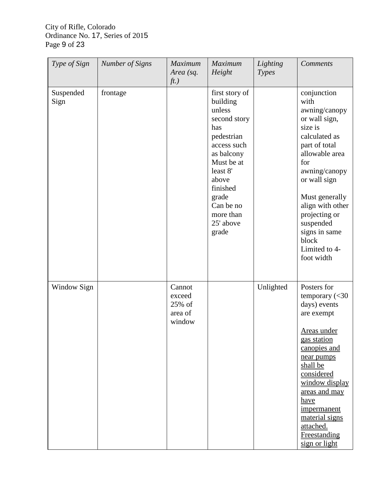# City of Rifle, Colorado Ordinance No. 17, Series of 2015 Page 9 of 23

| Type of Sign      | Number of Signs | Maximum<br>Area (sq.<br>ft.)                    | Maximum<br>Height                                                                                                                                                                                              | Lighting<br>Types | <b>Comments</b>                                                                                                                                                                                                                                                                                        |
|-------------------|-----------------|-------------------------------------------------|----------------------------------------------------------------------------------------------------------------------------------------------------------------------------------------------------------------|-------------------|--------------------------------------------------------------------------------------------------------------------------------------------------------------------------------------------------------------------------------------------------------------------------------------------------------|
| Suspended<br>Sign | frontage        |                                                 | first story of<br>building<br>unless<br>second story<br>has<br>pedestrian<br>access such<br>as balcony<br>Must be at<br>least 8'<br>above<br>finished<br>grade<br>Can be no<br>more than<br>25' above<br>grade |                   | conjunction<br>with<br>awning/canopy<br>or wall sign,<br>size is<br>calculated as<br>part of total<br>allowable area<br>for<br>awning/canopy<br>or wall sign<br>Must generally<br>align with other<br>projecting or<br>suspended<br>signs in same<br>block<br>Limited to 4-<br>foot width              |
| Window Sign       |                 | Cannot<br>exceed<br>25% of<br>area of<br>window |                                                                                                                                                                                                                | Unlighted         | Posters for<br>temporary $\left( < \frac{30}{2} \right)$<br>days) events<br>are exempt<br>Areas under<br>gas station<br>canopies and<br>near pumps<br>shall be<br>considered<br>window display<br>areas and may<br>have<br>impermanent<br>material signs<br>attached.<br>Freestanding<br>sign or light |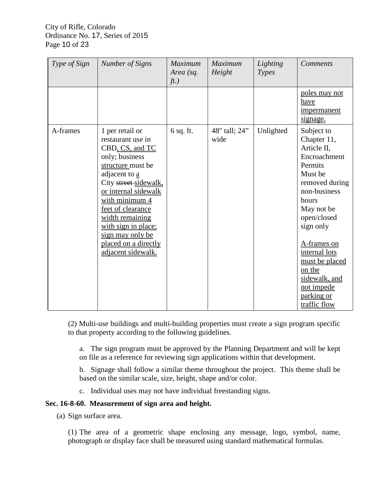## City of Rifle, Colorado Ordinance No. 17, Series of 2015 Page 10 of 23

| Type of Sign | <b>Number of Signs</b>                                                                                                                                                                                                                                                                                              | Maximum<br>Area (sq.<br>ft.) | <b>Maximum</b><br>Height | Lighting<br>Types | <b>Comments</b>                                                                                                                                                                                                                                                                              |
|--------------|---------------------------------------------------------------------------------------------------------------------------------------------------------------------------------------------------------------------------------------------------------------------------------------------------------------------|------------------------------|--------------------------|-------------------|----------------------------------------------------------------------------------------------------------------------------------------------------------------------------------------------------------------------------------------------------------------------------------------------|
|              |                                                                                                                                                                                                                                                                                                                     |                              |                          |                   | poles may not<br>have<br>impermanent<br>signage.                                                                                                                                                                                                                                             |
| A-frames     | 1 per retail or<br>restaurant use in<br>CBD, CS, and TC<br>only; business<br>structure must be<br>adjacent to a<br>City street-sidewalk,<br>or internal sidewalk<br>with minimum 4<br>feet of clearance<br>width remaining<br>with sign in place;<br>sign may only be<br>placed on a directly<br>adjacent sidewalk. | $6$ sq. ft.                  | 48" tall; 24"<br>wide    | Unlighted         | Subject to<br>Chapter 11,<br>Article II,<br>Encroachment<br>Permits<br>Must be<br>removed during<br>non-business<br>hours<br>May not be<br>open/closed<br>sign only<br>A-frames on<br>internal lots<br>must be placed<br>on the<br>sidewalk, and<br>not impede<br>parking or<br>traffic flow |

(2) Multi-use buildings and multi-building properties must create a sign program specific to that property according to the following guidelines.

a. The sign program must be approved by the Planning Department and will be kept on file as a reference for reviewing sign applications within that development.

b. Signage shall follow a similar theme throughout the project. This theme shall be based on the similar scale, size, height, shape and/or color.

c. Individual uses may not have individual freestanding signs.

## **Sec. 16-8-60. Measurement of sign area and height.**

(a) Sign surface area.

(1) The area of a geometric shape enclosing any message, logo, symbol, name, photograph or display face shall be measured using standard mathematical formulas.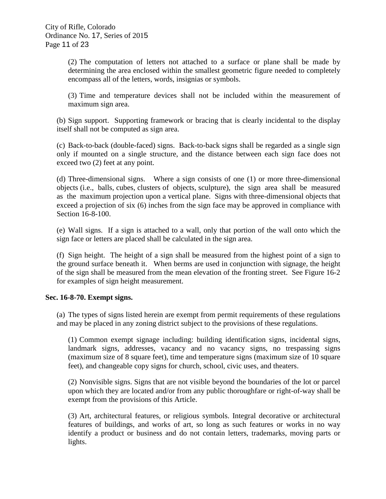(2) The computation of letters not attached to a surface or plane shall be made by determining the area enclosed within the smallest geometric figure needed to completely encompass all of the letters, words, insignias or symbols.

(3) Time and temperature devices shall not be included within the measurement of maximum sign area.

(b) Sign support. Supporting framework or bracing that is clearly incidental to the display itself shall not be computed as sign area.

(c) Back-to-back (double-faced) signs. Back-to-back signs shall be regarded as a single sign only if mounted on a single structure, and the distance between each sign face does not exceed two (2) feet at any point.

(d) Three-dimensional signs. Where a sign consists of one (1) or more three-dimensional objects (i.e., balls, cubes, clusters of objects, sculpture), the sign area shall be measured as the maximum projection upon a vertical plane. Signs with three-dimensional objects that exceed a projection of six (6) inches from the sign face may be approved in compliance with Section 16-8-100.

(e) Wall signs. If a sign is attached to a wall, only that portion of the wall onto which the sign face or letters are placed shall be calculated in the sign area.

(f) Sign height. The height of a sign shall be measured from the highest point of a sign to the ground surface beneath it. When berms are used in conjunction with signage, the height of the sign shall be measured from the mean elevation of the fronting street. See Figure 16-2 for examples of sign height measurement.

### **Sec. 16-8-70. Exempt signs.**

(a) The types of signs listed herein are exempt from permit requirements of these regulations and may be placed in any zoning district subject to the provisions of these regulations.

(1) Common exempt signage including: building identification signs, incidental signs, landmark signs, addresses, vacancy and no vacancy signs, no trespassing signs (maximum size of 8 square feet), time and temperature signs (maximum size of 10 square feet), and changeable copy signs for church, school, civic uses, and theaters.

(2) Nonvisible signs. Signs that are not visible beyond the boundaries of the lot or parcel upon which they are located and/or from any public thoroughfare or right-of-way shall be exempt from the provisions of this Article.

(3) Art, architectural features, or religious symbols. Integral decorative or architectural features of buildings, and works of art, so long as such features or works in no way identify a product or business and do not contain letters, trademarks, moving parts or lights.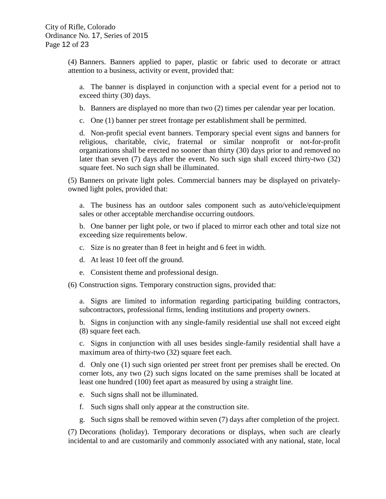(4) Banners. Banners applied to paper, plastic or fabric used to decorate or attract attention to a business, activity or event, provided that:

a. The banner is displayed in conjunction with a special event for a period not to exceed thirty (30) days.

- b. Banners are displayed no more than two (2) times per calendar year per location.
- c. One (1) banner per street frontage per establishment shall be permitted.

d. Non-profit special event banners. Temporary special event signs and banners for religious, charitable, civic, fraternal or similar nonprofit or not-for-profit organizations shall be erected no sooner than thirty (30) days prior to and removed no later than seven (7) days after the event. No such sign shall exceed thirty-two (32) square feet. No such sign shall be illuminated.

(5) Banners on private light poles. Commercial banners may be displayed on privatelyowned light poles, provided that:

a. The business has an outdoor sales component such as auto/vehicle/equipment sales or other acceptable merchandise occurring outdoors.

b. One banner per light pole, or two if placed to mirror each other and total size not exceeding size requirements below.

- c. Size is no greater than 8 feet in height and 6 feet in width.
- d. At least 10 feet off the ground.
- e. Consistent theme and professional design.
- (6) Construction signs. Temporary construction signs, provided that:

a. Signs are limited to information regarding participating building contractors, subcontractors, professional firms, lending institutions and property owners.

b. Signs in conjunction with any single-family residential use shall not exceed eight (8) square feet each.

c. Signs in conjunction with all uses besides single-family residential shall have a maximum area of thirty-two (32) square feet each.

d. Only one (1) such sign oriented per street front per premises shall be erected. On corner lots, any two (2) such signs located on the same premises shall be located at least one hundred (100) feet apart as measured by using a straight line.

- e. Such signs shall not be illuminated.
- f. Such signs shall only appear at the construction site.
- g. Such signs shall be removed within seven (7) days after completion of the project.

(7) Decorations (holiday). Temporary decorations or displays, when such are clearly incidental to and are customarily and commonly associated with any national, state, local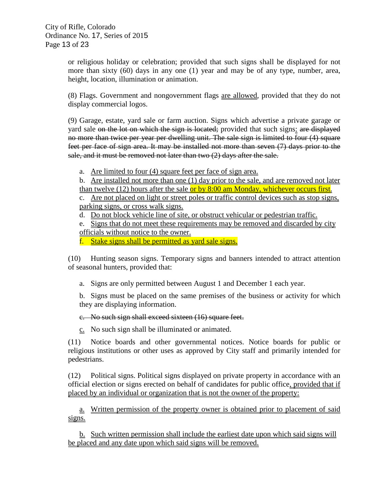or religious holiday or celebration; provided that such signs shall be displayed for not more than sixty (60) days in any one (1) year and may be of any type, number, area, height, location, illumination or animation.

(8) Flags. Government and nongovernment flags are allowed, provided that they do not display commercial logos.

(9) Garage, estate, yard sale or farm auction. Signs which advertise a private garage or yard sale on the lot on which the sign is located; provided that such signs: are displayed no more than twice per year per dwelling unit. The sale sign is limited to four (4) square feet per face of sign area. It may be installed not more than seven (7) days prior to the sale, and it must be removed not later than two (2) days after the sale.

a. Are limited to four (4) square feet per face of sign area.

b. Are installed not more than one (1) day prior to the sale, and are removed not later than twelve  $(12)$  hours after the sale or by  $8:00$  am Monday, whichever occurs first.

c. Are not placed on light or street poles or traffic control devices such as stop signs, parking signs, or cross walk signs.

d. Do not block vehicle line of site, or obstruct vehicular or pedestrian traffic.

e. Signs that do not meet these requirements may be removed and discarded by city officials without notice to the owner.

f. Stake signs shall be permitted as yard sale signs.

(10) Hunting season signs. Temporary signs and banners intended to attract attention of seasonal hunters, provided that:

a. Signs are only permitted between August 1 and December 1 each year.

b. Signs must be placed on the same premises of the business or activity for which they are displaying information.

c. No such sign shall exceed sixteen (16) square feet.

c. No such sign shall be illuminated or animated.

(11) Notice boards and other governmental notices. Notice boards for public or religious institutions or other uses as approved by City staff and primarily intended for pedestrians.

(12) Political signs. Political signs displayed on private property in accordance with an official election or signs erected on behalf of candidates for public office, provided that if placed by an individual or organization that is not the owner of the property:

a. Written permission of the property owner is obtained prior to placement of said signs.

b. Such written permission shall include the earliest date upon which said signs will be placed and any date upon which said signs will be removed.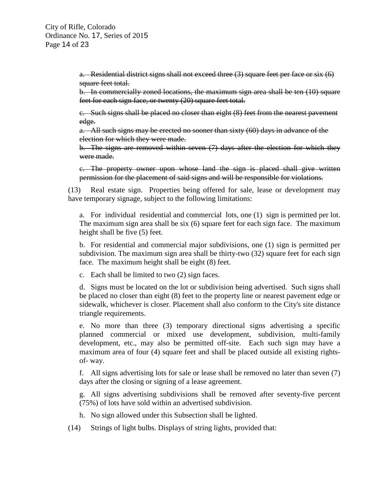a. Residential district signs shall not exceed three (3) square feet per face or six (6) square feet total.

b. In commercially zoned locations, the maximum sign area shall be ten (10) square feet for each sign face, or twenty (20) square feet total.

c. Such signs shall be placed no closer than eight (8) feet from the nearest pavement edge.

a. All such signs may be erected no sooner than sixty (60) days in advance of the election for which they were made.

b. The signs are removed within seven (7) days after the election for which they were made.

c. The property owner upon whose land the sign is placed shall give written permission for the placement of said signs and will be responsible for violations.

(13) Real estate sign. Properties being offered for sale, lease or development may have temporary signage, subject to the following limitations:

a. For individual residential and commercial lots, one (1) sign is permitted per lot. The maximum sign area shall be six (6) square feet for each sign face. The maximum height shall be five (5) feet.

b. For residential and commercial major subdivisions, one (1) sign is permitted per subdivision. The maximum sign area shall be thirty-two (32) square feet for each sign face. The maximum height shall be eight (8) feet.

c. Each shall be limited to two (2) sign faces.

d. Signs must be located on the lot or subdivision being advertised. Such signs shall be placed no closer than eight (8) feet to the property line or nearest pavement edge or sidewalk, whichever is closer. Placement shall also conform to the City's site distance triangle requirements.

e. No more than three (3) temporary directional signs advertising a specific planned commercial or mixed use development, subdivision, multi-family development, etc., may also be permitted off-site. Each such sign may have a maximum area of four (4) square feet and shall be placed outside all existing rightsof- way.

f. All signs advertising lots for sale or lease shall be removed no later than seven (7) days after the closing or signing of a lease agreement.

g. All signs advertising subdivisions shall be removed after seventy-five percent (75%) of lots have sold within an advertised subdivision.

- h. No sign allowed under this Subsection shall be lighted.
- (14) Strings of light bulbs. Displays of string lights, provided that: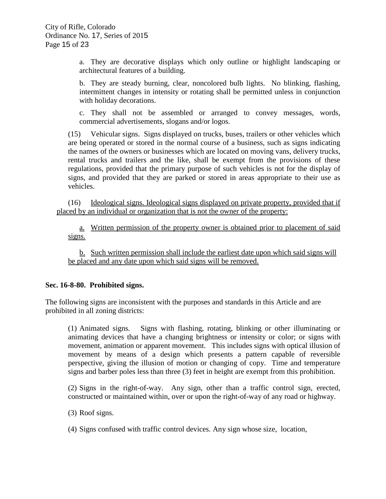a. They are decorative displays which only outline or highlight landscaping or architectural features of a building.

b. They are steady burning, clear, noncolored bulb lights. No blinking, flashing, intermittent changes in intensity or rotating shall be permitted unless in conjunction with holiday decorations.

c. They shall not be assembled or arranged to convey messages, words, commercial advertisements, slogans and/or logos.

(15) Vehicular signs. Signs displayed on trucks, buses, trailers or other vehicles which are being operated or stored in the normal course of a business, such as signs indicating the names of the owners or businesses which are located on moving vans, delivery trucks, rental trucks and trailers and the like, shall be exempt from the provisions of these regulations, provided that the primary purpose of such vehicles is not for the display of signs, and provided that they are parked or stored in areas appropriate to their use as vehicles.

(16) Ideological signs. Ideological signs displayed on private property, provided that if placed by an individual or organization that is not the owner of the property:

a. Written permission of the property owner is obtained prior to placement of said signs.

b. Such written permission shall include the earliest date upon which said signs will be placed and any date upon which said signs will be removed.

## **Sec. 16-8-80. Prohibited signs.**

The following signs are inconsistent with the purposes and standards in this Article and are prohibited in all zoning districts:

(1) Animated signs. Signs with flashing, rotating, blinking or other illuminating or animating devices that have a changing brightness or intensity or color; or signs with movement, animation or apparent movement. This includes signs with optical illusion of movement by means of a design which presents a pattern capable of reversible perspective, giving the illusion of motion or changing of copy. Time and temperature signs and barber poles less than three (3) feet in height are exempt from this prohibition.

(2) Signs in the right-of-way. Any sign, other than a traffic control sign, erected, constructed or maintained within, over or upon the right-of-way of any road or highway.

(3) Roof signs.

(4) Signs confused with traffic control devices. Any sign whose size, location,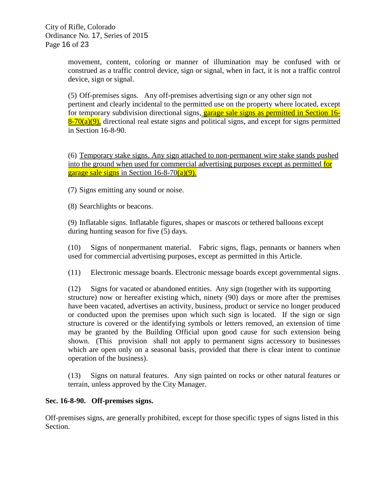movement, content, coloring or manner of illumination may be confused with or construed as a traffic control device, sign or signal, when in fact, it is not a traffic control device, sign or signal.

(5) Off-premises signs. Any off-premises advertising sign or any other sign not pertinent and clearly incidental to the permitted use on the property where located, except for temporary subdivision directional signs, garage sale signs as permitted in Section 16- $8-70(a)(9)$ , directional real estate signs and political signs, and except for signs permitted in Section 16-8-90.

(6) Temporary stake signs. Any sign attached to non-permanent wire stake stands pushed into the ground when used for commercial advertising purposes except as permitted for garage sale signs in Section 16-8-70(a)(9).

(7) Signs emitting any sound or noise.

(8) Searchlights or beacons.

(9) Inflatable signs. Inflatable figures, shapes or mascots or tethered balloons except during hunting season for five (5) days.

(10) Signs of nonpermanent material. Fabric signs, flags, pennants or banners when used for commercial advertising purposes, except as permitted in this Article.

(11) Electronic message boards. Electronic message boards except governmental signs.

(12) Signs for vacated or abandoned entities. Any sign (together with its supporting structure) now or hereafter existing which, ninety (90) days or more after the premises have been vacated, advertises an activity, business, product or service no longer produced or conducted upon the premises upon which such sign is located. If the sign or sign structure is covered or the identifying symbols or letters removed, an extension of time may be granted by the Building Official upon good cause for such extension being shown. (This provision shall not apply to permanent signs accessory to businesses which are open only on a seasonal basis, provided that there is clear intent to continue operation of the business).

(13) Signs on natural features. Any sign painted on rocks or other natural features or terrain, unless approved by the City Manager.

### **Sec. 16-8-90. Off-premises signs.**

Off-premises signs, are generally prohibited, except for those specific types of signs listed in this Section.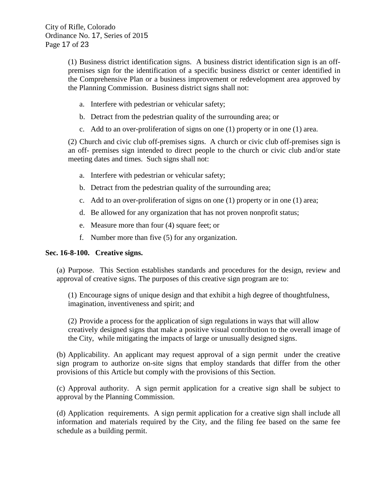(1) Business district identification signs. A business district identification sign is an offpremises sign for the identification of a specific business district or center identified in the Comprehensive Plan or a business improvement or redevelopment area approved by the Planning Commission. Business district signs shall not:

- a. Interfere with pedestrian or vehicular safety;
- b. Detract from the pedestrian quality of the surrounding area; or
- c. Add to an over-proliferation of signs on one (1) property or in one (1) area.

(2) Church and civic club off-premises signs. A church or civic club off-premises sign is an off- premises sign intended to direct people to the church or civic club and/or state meeting dates and times. Such signs shall not:

- a. Interfere with pedestrian or vehicular safety;
- b. Detract from the pedestrian quality of the surrounding area;
- c. Add to an over-proliferation of signs on one (1) property or in one (1) area;
- d. Be allowed for any organization that has not proven nonprofit status;
- e. Measure more than four (4) square feet; or
- f. Number more than five (5) for any organization.

### **Sec. 16-8-100. Creative signs.**

(a) Purpose. This Section establishes standards and procedures for the design, review and approval of creative signs. The purposes of this creative sign program are to:

(1) Encourage signs of unique design and that exhibit a high degree of thoughtfulness, imagination, inventiveness and spirit; and

(2) Provide a process for the application of sign regulations in ways that will allow creatively designed signs that make a positive visual contribution to the overall image of the City, while mitigating the impacts of large or unusually designed signs.

(b) Applicability. An applicant may request approval of a sign permit under the creative sign program to authorize on-site signs that employ standards that differ from the other provisions of this Article but comply with the provisions of this Section.

(c) Approval authority. A sign permit application for a creative sign shall be subject to approval by the Planning Commission.

(d) Application requirements. A sign permit application for a creative sign shall include all information and materials required by the City, and the filing fee based on the same fee schedule as a building permit.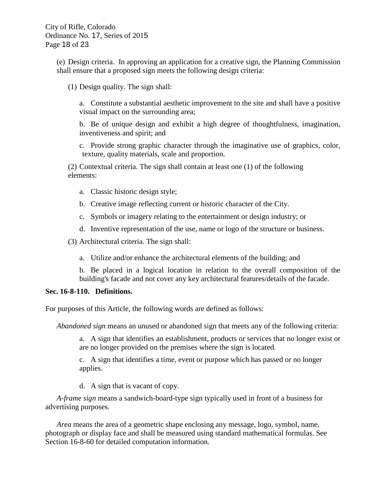(e) Design criteria. In approving an application for a creative sign, the Planning Commission shall ensure that a proposed sign meets the following design criteria:

(1) Design quality. The sign shall:

a. Constitute a substantial aesthetic improvement to the site and shall have a positive visual impact on the surrounding area;

b. Be of unique design and exhibit a high degree of thoughtfulness, imagination, inventiveness and spirit; and

c. Provide strong graphic character through the imaginative use of graphics, color, texture, quality materials, scale and proportion.

(2) Contextual criteria. The sign shall contain at least one (1) of the following elements:

- a. Classic historic design style;
- b. Creative image reflecting current or historic character of the City.
- c. Symbols or imagery relating to the entertainment or design industry; or
- d. Inventive representation of the use, name or logo of the structure or business.

(3) Architectural criteria. The sign shall:

a. Utilize and/or enhance the architectural elements of the building; and

b. Be placed in a logical location in relation to the overall composition of the building's facade and not cover any key architectural features/details of the facade.

#### **Sec. 16-8-110. Definitions.**

For purposes of this Article, the following words are defined as follows:

*Abandoned sign* means an unused or abandoned sign that meets any of the following criteria:

a. A sign that identifies an establishment, products or services that no longer exist or are no longer provided on the premises where the sign is located.

c. A sign that identifies a time, event or purpose which has passed or no longer applies.

d. A sign that is vacant of copy.

*A-frame sign* means a sandwich-board-type sign typically used in front of a business for advertising purposes.

*Area* means the area of a geometric shape enclosing any message, logo, symbol, name, photograph or display face and shall be measured using standard mathematical formulas. See Section 16-8-60 for detailed computation information.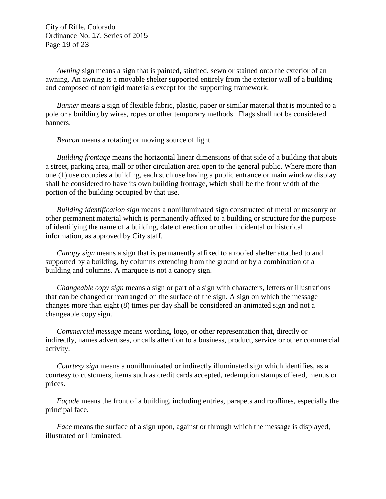City of Rifle, Colorado Ordinance No. 17, Series of 2015 Page 19 of 23

*Awning* sign means a sign that is painted, stitched, sewn or stained onto the exterior of an awning. An awning is a movable shelter supported entirely from the exterior wall of a building and composed of nonrigid materials except for the supporting framework.

*Banner* means a sign of flexible fabric, plastic, paper or similar material that is mounted to a pole or a building by wires, ropes or other temporary methods. Flags shall not be considered banners.

*Beacon* means a rotating or moving source of light.

*Building frontage* means the horizontal linear dimensions of that side of a building that abuts a street, parking area, mall or other circulation area open to the general public. Where more than one (1) use occupies a building, each such use having a public entrance or main window display shall be considered to have its own building frontage, which shall be the front width of the portion of the building occupied by that use.

*Building identification sign* means a nonilluminated sign constructed of metal or masonry or other permanent material which is permanently affixed to a building or structure for the purpose of identifying the name of a building, date of erection or other incidental or historical information, as approved by City staff.

*Canopy sign* means a sign that is permanently affixed to a roofed shelter attached to and supported by a building, by columns extending from the ground or by a combination of a building and columns. A marquee is not a canopy sign.

*Changeable copy sign* means a sign or part of a sign with characters, letters or illustrations that can be changed or rearranged on the surface of the sign. A sign on which the message changes more than eight (8) times per day shall be considered an animated sign and not a changeable copy sign.

*Commercial message* means wording, logo, or other representation that, directly or indirectly, names advertises, or calls attention to a business, product, service or other commercial activity.

*Courtesy sign* means a nonilluminated or indirectly illuminated sign which identifies, as a courtesy to customers, items such as credit cards accepted, redemption stamps offered, menus or prices.

*Façade* means the front of a building, including entries, parapets and rooflines, especially the principal face.

*Face* means the surface of a sign upon, against or through which the message is displayed, illustrated or illuminated.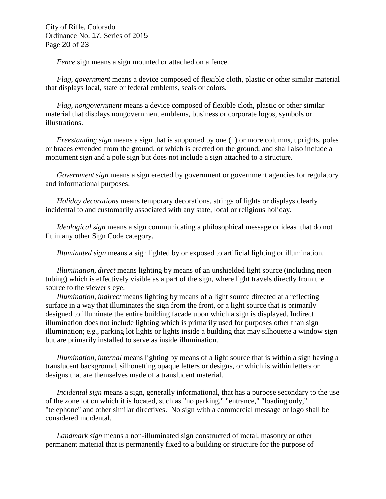City of Rifle, Colorado Ordinance No. 17, Series of 2015 Page 20 of 23

*Fence* sign means a sign mounted or attached on a fence.

*Flag, government* means a device composed of flexible cloth, plastic or other similar material that displays local, state or federal emblems, seals or colors.

*Flag, nongovernment* means a device composed of flexible cloth, plastic or other similar material that displays nongovernment emblems, business or corporate logos, symbols or illustrations.

*Freestanding sign* means a sign that is supported by one (1) or more columns, uprights, poles or braces extended from the ground, or which is erected on the ground, and shall also include a monument sign and a pole sign but does not include a sign attached to a structure.

*Government sign* means a sign erected by government or government agencies for regulatory and informational purposes.

*Holiday decorations* means temporary decorations, strings of lights or displays clearly incidental to and customarily associated with any state, local or religious holiday.

*Ideological sign* means a sign communicating a philosophical message or ideas that do not fit in any other Sign Code category.

*Illuminated sign* means a sign lighted by or exposed to artificial lighting or illumination.

*Illumination, direct* means lighting by means of an unshielded light source (including neon tubing) which is effectively visible as a part of the sign, where light travels directly from the source to the viewer's eye.

*Illumination, indirect* means lighting by means of a light source directed at a reflecting surface in a way that illuminates the sign from the front, or a light source that is primarily designed to illuminate the entire building facade upon which a sign is displayed. Indirect illumination does not include lighting which is primarily used for purposes other than sign illumination; e.g., parking lot lights or lights inside a building that may silhouette a window sign but are primarily installed to serve as inside illumination.

*Illumination, internal* means lighting by means of a light source that is within a sign having a translucent background, silhouetting opaque letters or designs, or which is within letters or designs that are themselves made of a translucent material.

*Incidental sign* means a sign, generally informational, that has a purpose secondary to the use of the zone lot on which it is located, such as "no parking," "entrance," "loading only," "telephone" and other similar directives. No sign with a commercial message or logo shall be considered incidental.

*Landmark sign* means a non-illuminated sign constructed of metal, masonry or other permanent material that is permanently fixed to a building or structure for the purpose of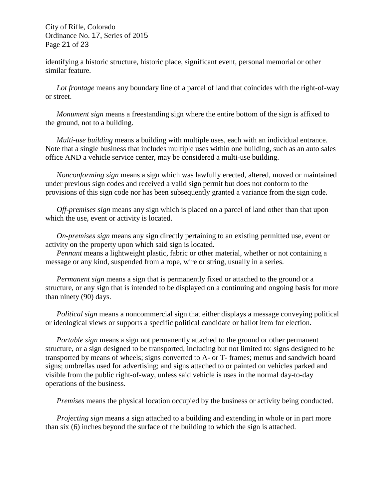City of Rifle, Colorado Ordinance No. 17, Series of 2015 Page 21 of 23

identifying a historic structure, historic place, significant event, personal memorial or other similar feature.

*Lot frontage* means any boundary line of a parcel of land that coincides with the right-of-way or street.

*Monument sign* means a freestanding sign where the entire bottom of the sign is affixed to the ground, not to a building.

*Multi-use building* means a building with multiple uses, each with an individual entrance. Note that a single business that includes multiple uses within one building, such as an auto sales office AND a vehicle service center, may be considered a multi-use building.

*Nonconforming sign* means a sign which was lawfully erected, altered, moved or maintained under previous sign codes and received a valid sign permit but does not conform to the provisions of this sign code nor has been subsequently granted a variance from the sign code.

*Off-premises sign* means any sign which is placed on a parcel of land other than that upon which the use, event or activity is located.

*On-premises sign* means any sign directly pertaining to an existing permitted use, event or activity on the property upon which said sign is located.

*Pennant* means a lightweight plastic, fabric or other material, whether or not containing a message or any kind, suspended from a rope, wire or string, usually in a series.

*Permanent sign* means a sign that is permanently fixed or attached to the ground or a structure, or any sign that is intended to be displayed on a continuing and ongoing basis for more than ninety (90) days.

*Political sign* means a noncommercial sign that either displays a message conveying political or ideological views or supports a specific political candidate or ballot item for election.

*Portable sign* means a sign not permanently attached to the ground or other permanent structure, or a sign designed to be transported, including but not limited to: signs designed to be transported by means of wheels; signs converted to A- or T- frames; menus and sandwich board signs; umbrellas used for advertising; and signs attached to or painted on vehicles parked and visible from the public right-of-way, unless said vehicle is uses in the normal day-to-day operations of the business.

*Premises* means the physical location occupied by the business or activity being conducted.

*Projecting sign* means a sign attached to a building and extending in whole or in part more than six (6) inches beyond the surface of the building to which the sign is attached.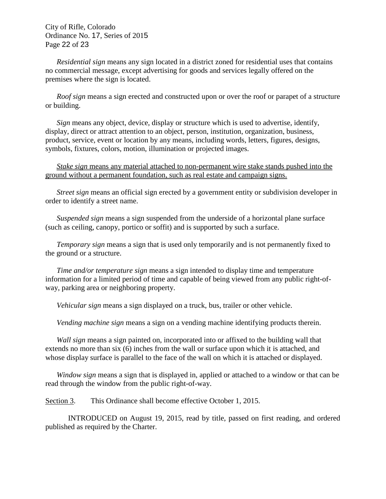City of Rifle, Colorado Ordinance No. 17, Series of 2015 Page 22 of 23

*Residential sign* means any sign located in a district zoned for residential uses that contains no commercial message, except advertising for goods and services legally offered on the premises where the sign is located.

*Roof sign* means a sign erected and constructed upon or over the roof or parapet of a structure or building.

*Sign* means any object, device, display or structure which is used to advertise, identify, display, direct or attract attention to an object, person, institution, organization, business, product, service, event or location by any means, including words, letters, figures, designs, symbols, fixtures, colors, motion, illumination or projected images.

*Stake sign* means any material attached to non-permanent wire stake stands pushed into the ground without a permanent foundation, such as real estate and campaign signs.

*Street sign* means an official sign erected by a government entity or subdivision developer in order to identify a street name.

*Suspended sign* means a sign suspended from the underside of a horizontal plane surface (such as ceiling, canopy, portico or soffit) and is supported by such a surface.

*Temporary sign* means a sign that is used only temporarily and is not permanently fixed to the ground or a structure.

*Time and/or temperature sign* means a sign intended to display time and temperature information for a limited period of time and capable of being viewed from any public right-ofway, parking area or neighboring property.

*Vehicular sign* means a sign displayed on a truck, bus, trailer or other vehicle.

*Vending machine sign* means a sign on a vending machine identifying products therein.

*Wall sign* means a sign painted on, incorporated into or affixed to the building wall that extends no more than six (6) inches from the wall or surface upon which it is attached, and whose display surface is parallel to the face of the wall on which it is attached or displayed.

*Window sign* means a sign that is displayed in, applied or attached to a window or that can be read through the window from the public right-of-way.

Section 3. This Ordinance shall become effective October 1, 2015.

INTRODUCED on August 19, 2015, read by title, passed on first reading, and ordered published as required by the Charter.